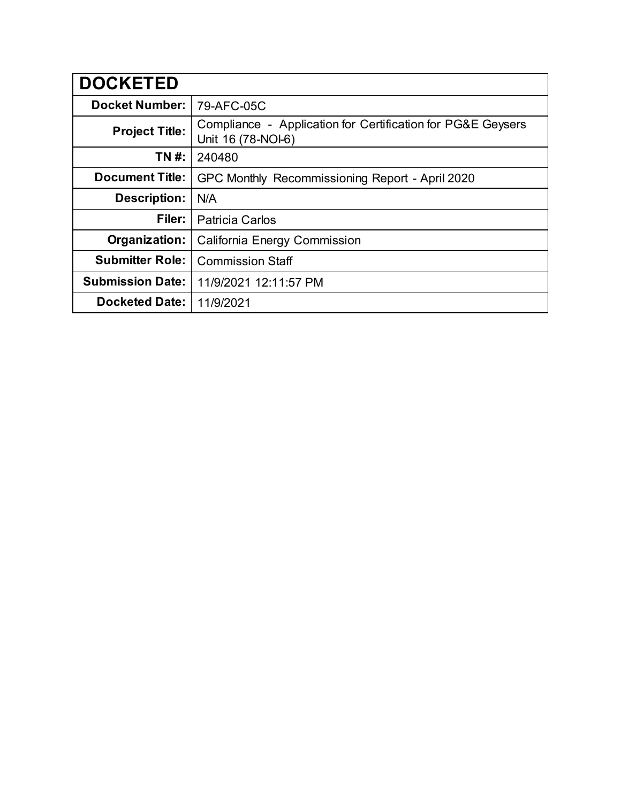| <b>DOCKETED</b>         |                                                                                   |
|-------------------------|-----------------------------------------------------------------------------------|
| <b>Docket Number:</b>   | 79-AFC-05C                                                                        |
| <b>Project Title:</b>   | Compliance - Application for Certification for PG&E Geysers<br>Unit 16 (78-NOI-6) |
| TN #:                   | 240480                                                                            |
| <b>Document Title:</b>  | GPC Monthly Recommissioning Report - April 2020                                   |
| <b>Description:</b>     | N/A                                                                               |
| Filer:                  | <b>Patricia Carlos</b>                                                            |
| Organization:           | California Energy Commission                                                      |
| <b>Submitter Role:</b>  | <b>Commission Staff</b>                                                           |
| <b>Submission Date:</b> | 11/9/2021 12:11:57 PM                                                             |
| <b>Docketed Date:</b>   | 11/9/2021                                                                         |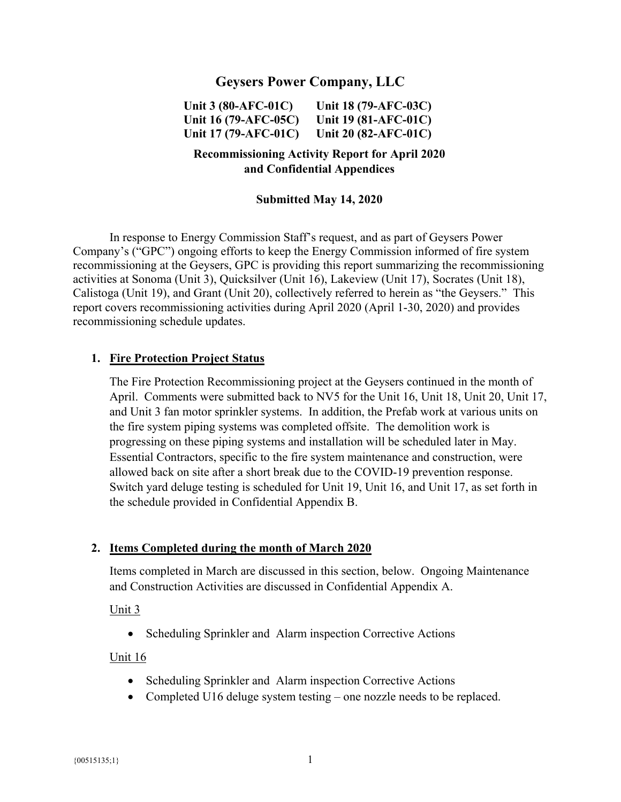## **Geysers Power Company, LLC**

**Unit 3 (80-AFC-01C) Unit 16 (79-AFC-05C) Unit 17 (79-AFC-01C) Unit 18 (79-AFC-03C) Unit 19 (81-AFC-01C) Unit 20 (82-AFC-01C)** 

## **Recommissioning Activity Report for April 2020 and Confidential Appendices**

### **Submitted May 14, 2020**

In response to Energy Commission Staff's request, and as part of Geysers Power Company's ("GPC") ongoing efforts to keep the Energy Commission informed of fire system recommissioning at the Geysers, GPC is providing this report summarizing the recommissioning activities at Sonoma (Unit 3), Quicksilver (Unit 16), Lakeview (Unit 17), Socrates (Unit 18), Calistoga (Unit 19), and Grant (Unit 20), collectively referred to herein as "the Geysers." This report covers recommissioning activities during April 2020 (April 1-30, 2020) and provides recommissioning schedule updates.

#### **1. Fire Protection Project Status**

The Fire Protection Recommissioning project at the Geysers continued in the month of April. Comments were submitted back to NV5 for the Unit 16, Unit 18, Unit 20, Unit 17, and Unit 3 fan motor sprinkler systems. In addition, the Prefab work at various units on the fire system piping systems was completed offsite. The demolition work is progressing on these piping systems and installation will be scheduled later in May. Essential Contractors, specific to the fire system maintenance and construction, were allowed back on site after a short break due to the COVID-19 prevention response. Switch yard deluge testing is scheduled for Unit 19, Unit 16, and Unit 17, as set forth in the schedule provided in Confidential Appendix B.

### **2. Items Completed during the month of March 2020**

Items completed in March are discussed in this section, below. Ongoing Maintenance and Construction Activities are discussed in Confidential Appendix A.

#### Unit 3

• Scheduling Sprinkler and Alarm inspection Corrective Actions

#### Unit 16

- Scheduling Sprinkler and Alarm inspection Corrective Actions
- Completed U16 deluge system testing one nozzle needs to be replaced.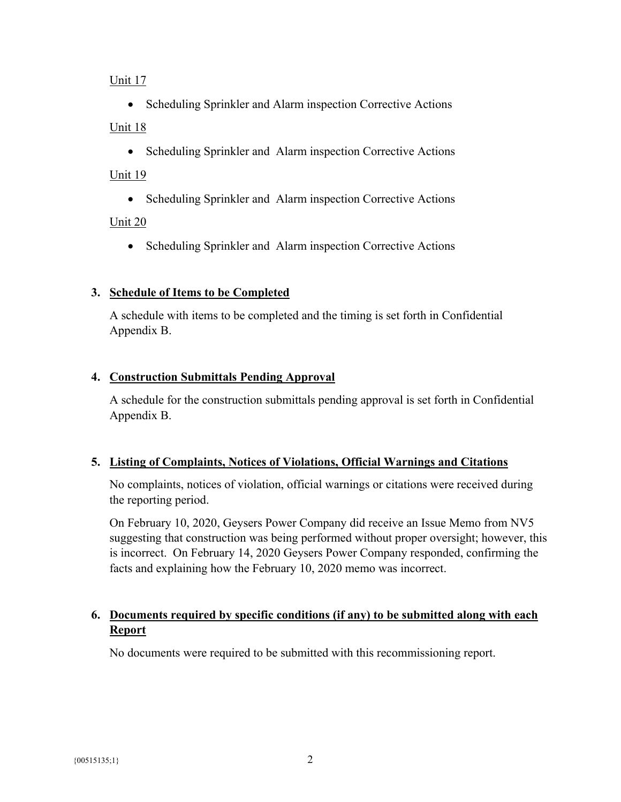### Unit 17

• Scheduling Sprinkler and Alarm inspection Corrective Actions Unit 18

• Scheduling Sprinkler and Alarm inspection Corrective Actions

## Unit 19

• Scheduling Sprinkler and Alarm inspection Corrective Actions

# Unit 20

• Scheduling Sprinkler and Alarm inspection Corrective Actions

# **3. Schedule of Items to be Completed**

A schedule with items to be completed and the timing is set forth in Confidential Appendix B.

## **4. Construction Submittals Pending Approval**

A schedule for the construction submittals pending approval is set forth in Confidential Appendix B.

# **5. Listing of Complaints, Notices of Violations, Official Warnings and Citations**

No complaints, notices of violation, official warnings or citations were received during the reporting period.

On February 10, 2020, Geysers Power Company did receive an Issue Memo from NV5 suggesting that construction was being performed without proper oversight; however, this is incorrect. On February 14, 2020 Geysers Power Company responded, confirming the facts and explaining how the February 10, 2020 memo was incorrect.

# **6. Documents required by specific conditions (if any) to be submitted along with each Report**

No documents were required to be submitted with this recommissioning report.